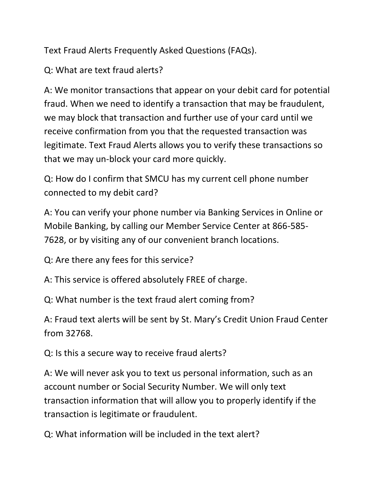Text Fraud Alerts Frequently Asked Questions (FAQs).

Q: What are text fraud alerts?

A: We monitor transactions that appear on your debit card for potential fraud. When we need to identify a transaction that may be fraudulent, we may block that transaction and further use of your card until we receive confirmation from you that the requested transaction was legitimate. Text Fraud Alerts allows you to verify these transactions so that we may un-block your card more quickly.

Q: How do I confirm that SMCU has my current cell phone number connected to my debit card?

A: You can verify your phone number via Banking Services in Online or Mobile Banking, by calling our Member Service Center at 866-585- 7628, or by visiting any of our convenient branch locations.

Q: Are there any fees for this service?

A: This service is offered absolutely FREE of charge.

Q: What number is the text fraud alert coming from?

A: Fraud text alerts will be sent by St. Mary's Credit Union Fraud Center from 32768.

Q: Is this a secure way to receive fraud alerts?

A: We will never ask you to text us personal information, such as an account number or Social Security Number. We will only text transaction information that will allow you to properly identify if the transaction is legitimate or fraudulent.

Q: What information will be included in the text alert?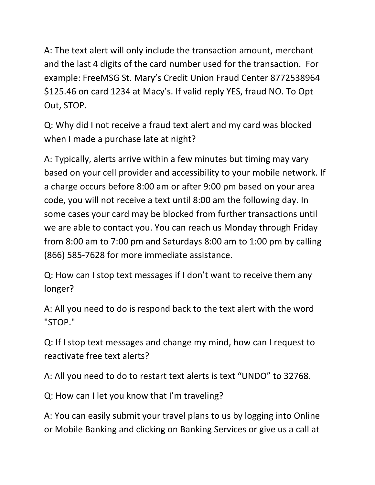A: The text alert will only include the transaction amount, merchant and the last 4 digits of the card number used for the transaction. For example: FreeMSG St. Mary's Credit Union Fraud Center 8772538964 \$125.46 on card 1234 at Macy's. If valid reply YES, fraud NO. To Opt Out, STOP.

Q: Why did I not receive a fraud text alert and my card was blocked when I made a purchase late at night?

A: Typically, alerts arrive within a few minutes but timing may vary based on your cell provider and accessibility to your mobile network. If a charge occurs before 8:00 am or after 9:00 pm based on your area code, you will not receive a text until 8:00 am the following day. In some cases your card may be blocked from further transactions until we are able to contact you. You can reach us Monday through Friday from 8:00 am to 7:00 pm and Saturdays 8:00 am to 1:00 pm by calling (866) 585-7628 for more immediate assistance.

Q: How can I stop text messages if I don't want to receive them any longer?

A: All you need to do is respond back to the text alert with the word "STOP."

Q: If I stop text messages and change my mind, how can I request to reactivate free text alerts?

A: All you need to do to restart text alerts is text "UNDO" to 32768.

Q: How can I let you know that I'm traveling?

A: You can easily submit your travel plans to us by logging into Online or Mobile Banking and clicking on Banking Services or give us a call at